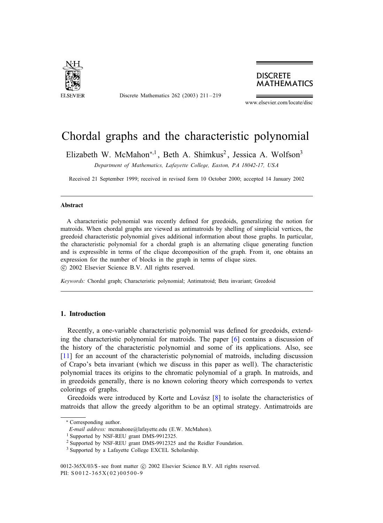

Discrete Mathematics 262 (2003) 211 –219

## **DISCRETE MATHEMATICS**

www.elsevier.com/locate/disc

# Chordal graphs and the characteristic polynomial

Elizabeth W. McMahon<sup>\*,1</sup>, Beth A. Shimkus<sup>2</sup>, Jessica A. Wolfson<sup>3</sup>

*Department of Mathematics, Lafayette College, Easton, PA 18042-17, USA*

Received 21 September 1999; received in revised form 10 October 2000; accepted 14 January 2002

### Abstract

A characteristic polynomial was recently defined for greedoids, generalizing the notion for matroids. When chordal graphs are viewed as antimatroids by shelling of simplicial vertices, the greedoid characteristic polynomial gives additional information about those graphs. In particular, the characteristic polynomial for a chordal graph is an alternating clique generating function and is expressible in terms of the clique decomposition of the graph. From it, one obtains an expression for the number of blocks in the graph in terms of clique sizes. !c 2002 Elsevier Science B.V. All rights reserved.

*Keywords:* Chordal graph; Characteristic polynomial; Antimatroid; Beta invariant; Greedoid

#### 1. Introduction

Recently, a one-variable characteristic polynomial was defined for greedoids, extending the characteristic polynomial for matroids. The paper [\[6\]](#page-8-0) contains a discussion of the history of the characteristic polynomial and some of its applications. Also, see [\[11\]](#page-8-1) for an account of the characteristic polynomial of matroids, including discussion of Crapo's beta invariant (which we discuss in this paper as well). The characteristic polynomial traces its origins to the chromatic polynomial of a graph. In matroids, and in greedoids generally, there is no known coloring theory which corresponds to vertex colorings of graphs.

Greedoids were introduced by Korte and Lovász  $[8]$  to isolate the characteristics of matroids that allow the greedy algorithm to be an optimal strategy. Antimatroids are

0012-365X/03/\$ - see front matter  $\odot$  2002 Elsevier Science B.V. All rights reserved. PII: S 0012-365X(02)00500-9

<sup>∗</sup> Corresponding author.

*E-mail address:* mcmahone@lafayette.edu (E.W. McMahon).

<sup>&</sup>lt;sup>1</sup> Supported by NSF-REU grant DMS-9912325.

<sup>2</sup> Supported by NSF-REU grant DMS-9912325 and the Reidler Foundation.

<sup>3</sup> Supported by a Lafayette College EXCEL Scholarship.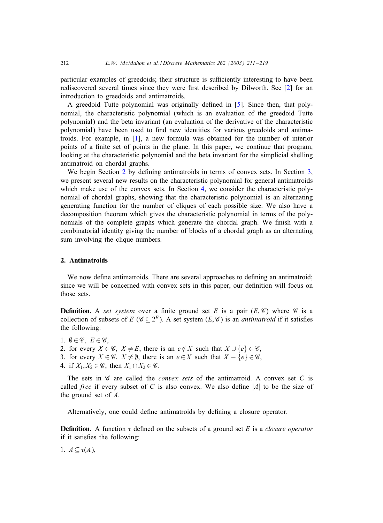particular examples of greedoids; their structure is sufficiently interesting to have been rediscovered several times since they were first described by Dilworth. See [\[2\]](#page-8-3) for an introduction to greedoids and antimatroids.

A greedoid Tutte polynomial was originally defined in [\[5\]](#page-8-4). Since then, that polynomial, the characteristic polynomial (which is an evaluation of the greedoid Tutte polynomial) and the beta invariant (an evaluation of the derivative of the characteristic polynomial) have been used to find new identities for various greedoids and antimatroids. For example, in [\[1\]](#page-8-5), a new formula was obtained for the number of interior points of a finite set of points in the plane. In this paper, we continue that program, looking at the characteristic polynomial and the beta invariant for the simplicial shelling antimatroid on chordal graphs.

We begin Section 2 by defining antimatroids in terms of convex sets. In Section [3,](#page-2-0) we present several new results on the characteristic polynomial for general antimatroids which make use of the convex sets. In Section [4,](#page-3-0) we consider the characteristic polynomial of chordal graphs, showing that the characteristic polynomial is an alternating generating function for the number of cliques of each possible size. We also have a decomposition theorem which gives the characteristic polynomial in terms of the polynomials of the complete graphs which generate the chordal graph. We finish with a combinatorial identity giving the number of blocks of a chordal graph as an alternating sum involving the clique numbers.

#### 2. Antimatroids

We now define antimatroids. There are several approaches to defining an antimatroid; since we will be concerned with convex sets in this paper, our definition will focus on those sets.

**Definition.** A *set system* over a finite ground set E is a pair  $(E, \mathscr{C})$  where  $\mathscr{C}$  is a collection of subsets of E ( $\mathcal{C} \subset 2^E$ ). A set system (E,  $\mathcal{C}$ ) is an *antimatroid* if it satisfies the following:

- 1.  $\emptyset \in \mathscr{C}$ ,  $E \in \mathscr{C}$ ,
- 2. for every  $X \in \mathscr{C}$ ,  $X \neq E$ , there is an  $e \notin X$  such that  $X \cup \{e\} \in \mathscr{C}$ ,
- 3. for every  $X \in \mathscr{C}$ ,  $X \neq \emptyset$ , there is an  $e \in X$  such that  $X \{e\} \in \mathscr{C}$ ,
- 4. if  $X_1, X_2 \in \mathscr{C}$ , then  $X_1 \cap X_2 \in \mathscr{C}$ .

The sets in  $\mathscr C$  are called the *convex sets* of the antimatroid. A convex set C is called *free* if every subset of C is also convex. We also define  $|A|$  to be the size of the ground set of A.

Alternatively, one could define antimatroids by defining a closure operator.

**Definition.** A function  $\tau$  defined on the subsets of a ground set E is a *closure operator* if it satisfies the following:

1.  $A \subseteq \tau(A)$ ,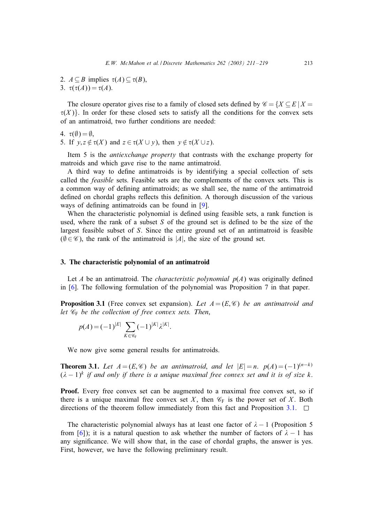2.  $A \subseteq B$  implies  $\tau(A) \subseteq \tau(B)$ , 3.  $\tau(\tau(A)) = \tau(A)$ .

The closure operator gives rise to a family of closed sets defined by  $\mathscr{C} = \{X \subseteq E | X = \emptyset\}$  $\tau(X)$ . In order for these closed sets to satisfy all the conditions for the convex sets of an antimatroid, two further conditions are needed:

$$
4. \ \tau(\emptyset) = \emptyset,
$$

5. If  $y, z \notin \tau(X)$  and  $z \in \tau(X \cup y)$ , then  $y \notin \tau(X \cup z)$ .

Item 5 is the *antiexchange property* that contrasts with the exchange property for matroids and which gave rise to the name antimatroid.

A third way to define antimatroids is by identifying a special collection of sets called the *feasible* sets. Feasible sets are the complements of the convex sets. This is a common way of defining antimatroids; as we shall see, the name of the antimatroid defined on chordal graphs reflects this definition. A thorough discussion of the various ways of defining antimatroids can be found in [\[9\]](#page-8-6).

<span id="page-2-1"></span><span id="page-2-0"></span>When the characteristic polynomial is defined using feasible sets, a rank function is used, where the rank of a subset S of the ground set is defined to be the size of the largest feasible subset of S. Since the entire ground set of an antimatroid is feasible  $(\emptyset \in \mathscr{C})$ , the rank of the antimatroid is |A|, the size of the ground set.

#### 3. The characteristic polynomial of an antimatroid

Let A be an antimatroid. The *characteristic polynomial*  $p(A)$  was originally defined in [\[6\]](#page-8-0). The following formulation of the polynomial was Proposition 7 in that paper.

**Proposition 3.1** (Free convex set expansion). Let  $A = (E, \mathcal{C})$  be an antimatroid and *let* C<sup>F</sup> *be the collection of free convex sets. Then*,

$$
p(A) = (-1)^{|E|} \sum_{K \in \mathscr{C}_{F}} (-1)^{|K|} \lambda^{|K|}.
$$

We now give some general results for antimatroids.

**Theorem 3.1.** *Let*  $A = (E, \mathcal{C})$  *be an antimatroid, and let*  $|E| = n$ ,  $p(A) = (-1)^{(n-k)}$  $(\lambda - 1)^k$  *if* and only *if* there *is* a *unique* maximal free *convex set* and *it is of size* k.

**Proof.** Every free convex set can be augmented to a maximal free convex set, so if there is a unique maximal free convex set X, then  $\mathcal{C}_F$  is the power set of X. Both directions of the theorem follow immediately from this fact and Proposition 3.1.  $\Box$ 

The characteristic polynomial always has at least one factor of  $\lambda - 1$  (Proposition 5 from [\[6\]](#page-8-0)); it is a natural question to ask whether the number of factors of  $\lambda - 1$  has any significance. We will show that, in the case of chordal graphs, the answer is yes. First, however, we have the following preliminary result.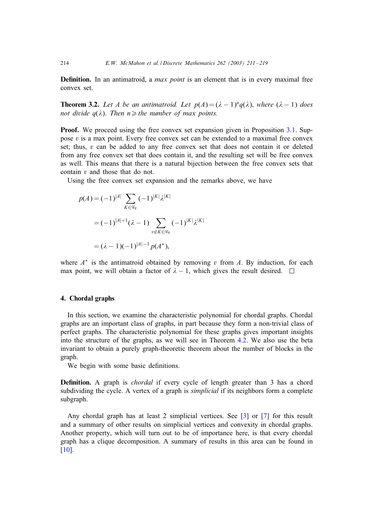**Definition.** In an antimatroid, a *max point* is an element that is in every maximal free convex set.

**Theorem 3.2.** Let A be an antimatroid. Let  $p(A) = (\lambda - 1)^n q(\lambda)$ , where  $(\lambda - 1)$  does *not divide*  $q(\lambda)$ *. Then*  $n \geq h$ *e number of max points.* 

**Proof.** We proceed using the free convex set expansion given in Proposition [3.1.](#page-2-1) Suppose  $v$  is a max point. Every free convex set can be extended to a maximal free convex set; thus,  $v$  can be added to any free convex set that does not contain it or deleted from any free convex set that does contain it, and the resulting set will be free convex as well. This means that there is a natural bijection between the free convex sets that contain v and those that do not.

Using the free convex set expansion and the remarks above, we have

$$
p(A) = (-1)^{|A|} \sum_{K \in \mathscr{C}_{F}} (-1)^{|K|} \lambda^{|K|}
$$
  
=  $(-1)^{|A|+1} (\lambda - 1) \sum_{v \notin K \in \mathscr{C}_{F}} (-1)^{|K|} \lambda^{|K|}$   
=  $(\lambda - 1)(-1)^{|A|-1} p(A^*)$ ,

<span id="page-3-0"></span>where  $A^*$  is the antimatroid obtained by removing v from A. By induction, for each max point, we will obtain a factor of  $\lambda - 1$ , which gives the result desired.  $\square$ 

#### 4. Chordal graphs

In this section, we examine the characteristic polynomial for chordal graphs. Chordal graphs are an important class of graphs, in part because they form a non-trivial class of perfect graphs. The characteristic polynomial for these graphs gives important insights into the structure of the graphs, as we will see in Theorem [4.2.](#page-5-0) We also use the beta invariant to obtain a purely graph-theoretic theorem about the number of blocks in the graph.

We begin with some basic definitions.

**Definition.** A graph is *chordal* if every cycle of length greater than 3 has a chord subdividing the cycle. A vertex of a graph is *simplicial* if its neighbors form a complete subgraph.

Any chordal graph has at least 2 simplicial vertices. See [\[3\]](#page-8-7) or [\[7\]](#page-8-8) for this result and a summary of other results on simplicial vertices and convexity in chordal graphs. Another property, which will turn out to be of importance here, is that every chordal graph has a clique decomposition. A summary of results in this area can be found in [\[10\]](#page-8-9).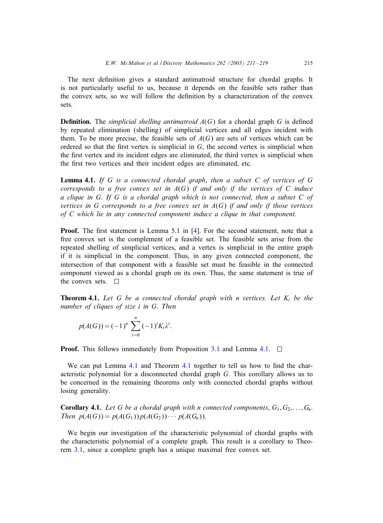The next definition gives a standard antimatroid structure for chordal graphs. It is not particularly useful to us, because it depends on the feasible sets rather than the convex sets, so we will follow the definition by a characterization of the convex sets.

<span id="page-4-0"></span>**Definition.** The *simplicial shelling antimatroid*  $A(G)$  for a chordal graph G is defined by repeated elimination (shelling) of simplicial vertices and all edges incident with them. To be more precise, the feasible sets of  $A(G)$  are sets of vertices which can be ordered so that the first vertex is simplicial in  $G$ , the second vertex is simplicial when the first vertex and its incident edges are eliminated, the third vertex is simplicial when the first two vertices and their incident edges are eliminated, etc.

Lemma 4.1. *If* G *is a connected chordal graph*, *then a subset* C *of vertices of* G *corresponds to a free convex set in* A(G) *if and only if the vertices of* C *induce a clique in* G. *If* G *is a chordal graph which is not connected*, *then a subset* C *of vertices in* G *corresponds to a free convex set in* A(G) *if and only if those vertices of* C *which lie in any connected component induce a clique in that component.*

**Proof.** The first statement is Lemma 5.1 in  $[4]$ . For the second statement, note that a free convex set is the complement of a feasible set. The feasible sets arise from the repeated shelling of simplicial vertices, and a vertex is simplicial in the entire graph if it is simplicial in the component. Thus, in any given connected component, the intersection of that component with a feasible set must be feasible in the connected component viewed as a chordal graph on its own. Thus, the same statement is true of the convex sets.  $\Box$ 

**Theorem 4.1.** Let G be a connected chordal graph with n vertices. Let  $K_i$  be the *number of cliques of size* i *in* G. *Then*

$$
p(A(G)) = (-1)^n \sum_{i=0}^n (-1)^i K_i \lambda^i
$$

**Proof.** This follows immediately from Proposition [3.1](#page-2-1) and Lemma 4.1.  $\Box$ 

:

We can put Lemma 4.1 and Theorem 4.1 together to tell us how to find the characteristic polynomial for a disconnected chordal graph G. This corollary allows us to be concerned in the remaining theorems only with connected chordal graphs without losing generality.

**Corollary 4.1.** Let G be a chordal graph with n connected components,  $G_1, G_2, \ldots, G_n$ . *Then*  $p(A(G)) = p(A(G_1))p(A(G_2)) \cdots p(A(G_n)).$ 

We begin our investigation of the characteristic polynomial of chordal graphs with the characteristic polynomial of a complete graph. This result is a corollary to Theorem [3.1,](#page-2-1) since a complete graph has a unique maximal free convex set.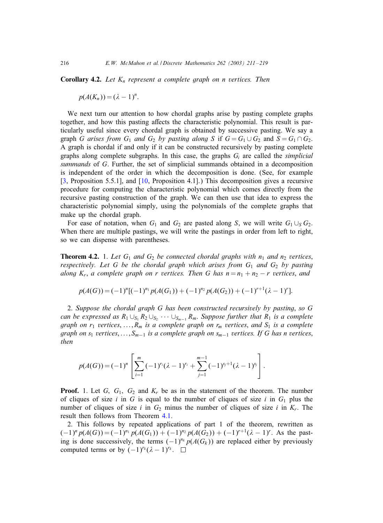<span id="page-5-0"></span>**Corollary 4.2.** Let  $K_n$  represent a complete graph on *n* vertices. Then

$$
p(A(K_n))=(\lambda-1)^n.
$$

We next turn our attention to how chordal graphs arise by pasting complete graphs together, and how this pasting affects the characteristic polynomial. This result is particularly useful since every chordal graph is obtained by successive pasting. We say a graph G arises from  $G_1$  and  $G_2$  by pasting along S if  $G = G_1 \cup G_2$  and  $S = G_1 \cap G_2$ . A graph is chordal if and only if it can be constructed recursively by pasting complete graphs along complete subgraphs. In this case, the graphs  $G_i$  are called the *simplicial summands* of G. Further, the set of simplicial summands obtained in a decomposition is independent of the order in which the decomposition is done. (See, for example [\[3,](#page-8-7) Proposition 5.5.1], and [\[10,](#page-8-9) Proposition 4.1].) This decomposition gives a recursive procedure for computing the characteristic polynomial which comes directly from the recursive pasting construction of the graph. We can then use that idea to express the characteristic polynomial simply, using the polynomials of the complete graphs that make up the chordal graph.

For ease of notation, when  $G_1$  and  $G_2$  are pasted along S, we will write  $G_1 \cup_S G_2$ . When there are multiple pastings, we will write the pastings in order from left to right, so we can dispense with parentheses.

**Theorem 4.2.** 1. Let  $G_1$  and  $G_2$  be connected chordal graphs with  $n_1$  and  $n_2$  vertices, *respectively. Let* G *be the chordal graph which arises from*  $G_1$  *and*  $G_2$  *by pasting along*  $K_r$ , *a complete graph on r vertices. Then G has*  $n = n_1 + n_2 - r$  *vertices, and* 

$$
p(A(G)) = (-1)^{n} [(-1)^{n_1} p(A(G_1)) + (-1)^{n_2} p(A(G_2)) + (-1)^{r+1} (\lambda - 1)^r].
$$

2. *Suppose the chordal graph* G *has been constructed recursively by pasting*, *so* G *can be expressed as*  $R_1 \cup_{S_1} R_2 \cup_{S_2} \cdots \cup_{S_{m-1}} R_m$ . *Suppose further that*  $R_1$  *is a complete graph on*  $r_1$  *vertices*, ...,  $R_m$  *is a complete graph on*  $r_m$  *vertices*, *and*  $S_1$  *is a complete graph on*  $s_1$  *vertices*,  $\dots$ ,  $S_{m-1}$  *is a complete graph on*  $s_{m-1}$  *vertices. If* G *has n vertices*, *then*

$$
p(A(G)) = (-1)^n \left[ \sum_{i=1}^m (-1)^{r_i} (\lambda - 1)^{r_i} + \sum_{j=1}^{m-1} (-1)^{s_j+1} (\lambda - 1)^{s_j} \right].
$$

**Proof.** 1. Let  $G$ ,  $G_1$ ,  $G_2$  and  $K_r$  be as in the statement of the theorem. The number of cliques of size i in G is equal to the number of cliques of size i in  $G_1$  plus the number of cliques of size i in  $G_2$  minus the number of cliques of size i in  $K_r$ . The result then follows from Theorem [4.1.](#page-4-0)

2. This follows by repeated applications of part 1 of the theorem, rewritten as  $(-1)^{n} p(A(G)) = (-1)^{n_1} p(A(G_1)) + (-1)^{n_2} p(A(G_2)) + (-1)^{r+1} (\lambda - 1)^r$ . As the pasting is done successively, the terms  $(-1)^{n_k} p(A(G_k))$  are replaced either by previously computed terms or by  $(-1)^{r_k}(\lambda - 1)^{r_k}$ .  $\Box$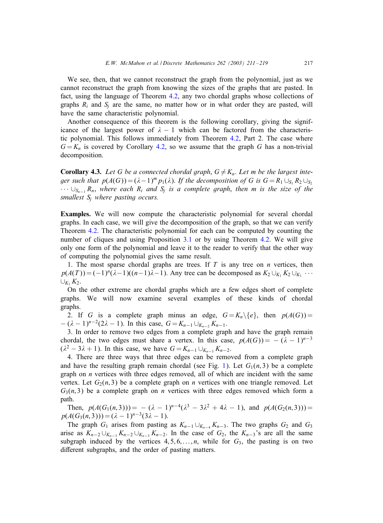We see, then, that we cannot reconstruct the graph from the polynomial, just as we cannot reconstruct the graph from knowing the sizes of the graphs that are pasted. In fact, using the language of Theorem [4.2,](#page-5-0) any two chordal graphs whose collections of graphs  $R_i$  and  $S_i$  are the same, no matter how or in what order they are pasted, will have the same characteristic polynomial.

Another consequence of this theorem is the following corollary, giving the significance of the largest power of  $\lambda - 1$  which can be factored from the characteristic polynomial. This follows immediately from Theorem [4.2,](#page-5-0) Part 2. The case where  $G = K_n$  is covered by Corollary [4.2,](#page-5-0) so we assume that the graph G has a non-trivial decomposition.

**Corollary 4.3.** Let G be a connected chordal graph,  $G \neq K_n$ . Let m be the largest inte*ger such that*  $p(A(G)) = (\lambda - 1)^m p_1(\lambda)$ . *If the decomposition of* G *is*  $G = R_1 \cup_{S_1} R_2 \cup_{S_2} R_3$ · · · ∪Sn−<sup>1</sup> Rn, *where each* Ri *and* Sj *is a complete graph*, *then* m *is the size of the smallest* Sj *where pasting occurs.*

Examples. We will now compute the characteristic polynomial for several chordal graphs. In each case, we will give the decomposition of the graph, so that we can verify Theorem [4.2.](#page-5-0) The characteristic polynomial for each can be computed by counting the number of cliques and using Proposition [3.1](#page-2-1) or by using Theorem [4.2.](#page-5-0) We will give only one form of the polynomial and leave it to the reader to verify that the other way of computing the polynomial gives the same result.

1. The most sparse chordal graphs are trees. If  $T$  is any tree on  $n$  vertices, then  $p(A(T)) = (-1)^{n}(\lambda-1)((n-1)\lambda-1)$ . Any tree can be decomposed as  $K_2 \cup_{K_1} K_2 \cup_{K_1} \cdots$  $\cup_{K_1} K_2$ .

On the other extreme are chordal graphs which are a few edges short of complete graphs. We will now examine several examples of these kinds of chordal graphs.

2. If G is a complete graph minus an edge,  $G = K_n \setminus \{e\}$ , then  $p(A(G)) =$  $-(\lambda - 1)^{n-2}(2\lambda - 1)$ . In this case,  $G = K_{n-1} \cup_{K_{n-2}} K_{n-1}$ .

3. In order to remove two edges from a complete graph and have the graph remain chordal, the two edges must share a vertex. In this case,  $p(A(G)) = -(\lambda - 1)^{n-3}$  $(\lambda^2 - 3\lambda + 1)$ . In this case, we have  $G = K_{n-1} \cup_{K_{n-3}} K_{n-2}$ .

4. There are three ways that three edges can be removed from a complete graph and have the resulting graph remain chordal (see Fig. [1\)](#page-7-0). Let  $G_1(n,3)$  be a complete graph on  $n$  vertices with three edges removed, all of which are incident with the same vertex. Let  $G_2(n, 3)$  be a complete graph on *n* vertices with one triangle removed. Let  $G_3(n, 3)$  be a complete graph on *n* vertices with three edges removed which form a path.

Then,  $p(A(G_1(n, 3))) = - (\lambda - 1)^{n-4}(\lambda^3 - 3\lambda^2 + 4\lambda - 1)$ , and  $p(A(G_2(n, 3))) =$  $p(A(G_3(n, 3))) = (\lambda - 1)^{n-3}(3\lambda - 1).$ 

The graph  $G_1$  arises from pasting as  $K_{n-1} \cup_{K_{n-4}} K_{n-3}$ . The two graphs  $G_2$  and  $G_3$ arise as  $K_{n-2} \cup_{K_{n-3}} K_{n-2} \cup_{K_{n-3}} K_{n-2}$ . In the case of  $G_2$ , the  $K_{n-3}$ 's are all the same subgraph induced by the vertices  $4, 5, 6, \ldots, n$ , while for  $G_3$ , the pasting is on two different subgraphs, and the order of pasting matters.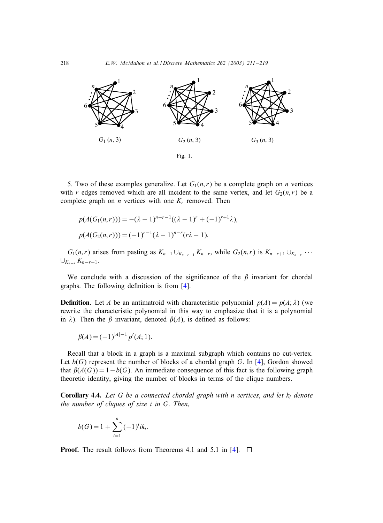

5. Two of these examples generalize. Let  $G_1(n,r)$  be a complete graph on *n* vertices with r edges removed which are all incident to the same vertex, and let  $G_2(n,r)$  be a complete graph on *n* vertices with one  $K_r$  removed. Then

$$
p(A(G_1(n,r))) = -(\lambda - 1)^{n-r-1}((\lambda - 1)^r + (-1)^{r+1}\lambda),
$$
  
\n
$$
p(A(G_2(n,r))) = (-1)^{r-1}(\lambda - 1)^{n-r}(r\lambda - 1).
$$

 $G_1(n,r)$  arises from pasting as  $K_{n-1} \cup_{K_{n-r-1}} K_{n-r}$ , while  $G_2(n,r)$  is  $K_{n-r+1} \cup_{K_{n-r}} \cdots$  $\cup_{K_{n-r}} K_{n-r+1}.$ 

We conclude with a discussion of the significance of the  $\beta$  invariant for chordal graphs. The following definition is from  $[4]$ .

**Definition.** Let A be an antimatroid with characteristic polynomial  $p(A) = p(A; \lambda)$  (we rewrite the characteristic polynomial in this way to emphasize that it is a polynomial in  $\lambda$ ). Then the  $\beta$  invariant, denoted  $\beta(A)$ , is defined as follows:

$$
\beta(A) = (-1)^{|A|-1} p'(A; 1).
$$

Recall that a block in a graph is a maximal subgraph which contains no cut-vertex. Let  $b(G)$  represent the number of blocks of a chordal graph G. In [\[4\]](#page-8-10), Gordon showed that  $\beta(A(G)) = 1 - b(G)$ . An immediate consequence of this fact is the following graph theoretic identity, giving the number of blocks in terms of the clique numbers.

Corollary 4.4. *Let* G *be a connected chordal graph with* n *vertices*, *and let* ki *denote the number of cliques of size* i *in* G. *Then*,

$$
b(G) = 1 + \sum_{i=1}^{n} (-1)^{i}ik_{i}.
$$

**Proof.** The result follows from Theorems 4.1 and 5.1 in [\[4\]](#page-8-10).  $\Box$ 

<span id="page-7-0"></span>